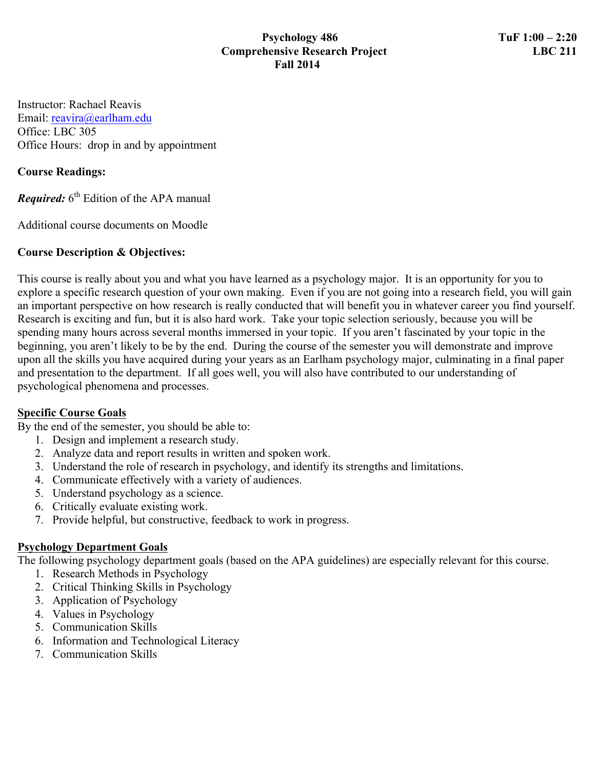#### **Psychology 486 TuF 1:00 – 2:20 Comprehensive Research Project LBC 211 Fall 2014**

Instructor: Rachael Reavis Email: reavira@earlham.edu Office: LBC 305 Office Hours: drop in and by appointment

#### **Course Readings:**

*Required:* 6<sup>th</sup> Edition of the APA manual

Additional course documents on Moodle

### **Course Description & Objectives:**

This course is really about you and what you have learned as a psychology major. It is an opportunity for you to explore a specific research question of your own making. Even if you are not going into a research field, you will gain an important perspective on how research is really conducted that will benefit you in whatever career you find yourself. Research is exciting and fun, but it is also hard work. Take your topic selection seriously, because you will be spending many hours across several months immersed in your topic. If you aren't fascinated by your topic in the beginning, you aren't likely to be by the end. During the course of the semester you will demonstrate and improve upon all the skills you have acquired during your years as an Earlham psychology major, culminating in a final paper and presentation to the department. If all goes well, you will also have contributed to our understanding of psychological phenomena and processes.

#### **Specific Course Goals**

By the end of the semester, you should be able to:

- 1. Design and implement a research study.
- 2. Analyze data and report results in written and spoken work.
- 3. Understand the role of research in psychology, and identify its strengths and limitations.
- 4. Communicate effectively with a variety of audiences.
- 5. Understand psychology as a science.
- 6. Critically evaluate existing work.
- 7. Provide helpful, but constructive, feedback to work in progress.

# **Psychology Department Goals**

The following psychology department goals (based on the APA guidelines) are especially relevant for this course.

- 1. Research Methods in Psychology
- 2. Critical Thinking Skills in Psychology
- 3. Application of Psychology
- 4. Values in Psychology
- 5. Communication Skills
- 6. Information and Technological Literacy
- 7. Communication Skills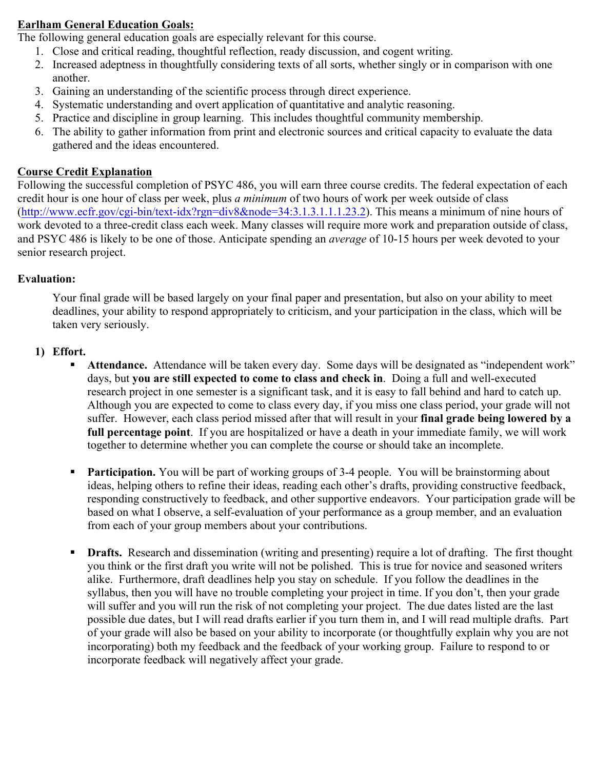### **Earlham General Education Goals:**

The following general education goals are especially relevant for this course.

- 1. Close and critical reading, thoughtful reflection, ready discussion, and cogent writing.
- 2. Increased adeptness in thoughtfully considering texts of all sorts, whether singly or in comparison with one another.
- 3. Gaining an understanding of the scientific process through direct experience.
- 4. Systematic understanding and overt application of quantitative and analytic reasoning.
- 5. Practice and discipline in group learning. This includes thoughtful community membership.
- 6. The ability to gather information from print and electronic sources and critical capacity to evaluate the data gathered and the ideas encountered.

#### **Course Credit Explanation**

Following the successful completion of PSYC 486, you will earn three course credits. The federal expectation of each credit hour is one hour of class per week, plus *a minimum* of two hours of work per week outside of class (http://www.ecfr.gov/cgi-bin/text-idx?rgn=div8&node=34:3.1.3.1.1.1.23.2). This means a minimum of nine hours of work devoted to a three-credit class each week. Many classes will require more work and preparation outside of class, and PSYC 486 is likely to be one of those. Anticipate spending an *average* of 10-15 hours per week devoted to your senior research project.

### **Evaluation:**

Your final grade will be based largely on your final paper and presentation, but also on your ability to meet deadlines, your ability to respond appropriately to criticism, and your participation in the class, which will be taken very seriously.

#### **1) Effort.**

- ! **Attendance.** Attendance will be taken every day. Some days will be designated as "independent work" days, but **you are still expected to come to class and check in**. Doing a full and well-executed research project in one semester is a significant task, and it is easy to fall behind and hard to catch up. Although you are expected to come to class every day, if you miss one class period, your grade will not suffer. However, each class period missed after that will result in your **final grade being lowered by a full percentage point**. If you are hospitalized or have a death in your immediate family, we will work together to determine whether you can complete the course or should take an incomplete.
- **Participation.** You will be part of working groups of 3-4 people. You will be brainstorming about ideas, helping others to refine their ideas, reading each other's drafts, providing constructive feedback, responding constructively to feedback, and other supportive endeavors. Your participation grade will be based on what I observe, a self-evaluation of your performance as a group member, and an evaluation from each of your group members about your contributions.
- ! **Drafts.** Research and dissemination (writing and presenting) require a lot of drafting. The first thought you think or the first draft you write will not be polished. This is true for novice and seasoned writers alike. Furthermore, draft deadlines help you stay on schedule. If you follow the deadlines in the syllabus, then you will have no trouble completing your project in time. If you don't, then your grade will suffer and you will run the risk of not completing your project. The due dates listed are the last possible due dates, but I will read drafts earlier if you turn them in, and I will read multiple drafts. Part of your grade will also be based on your ability to incorporate (or thoughtfully explain why you are not incorporating) both my feedback and the feedback of your working group. Failure to respond to or incorporate feedback will negatively affect your grade.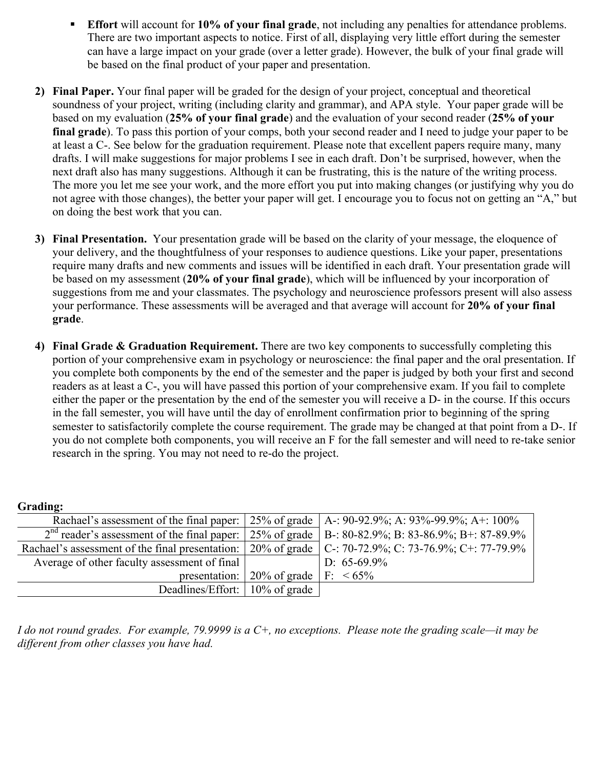- ! **Effort** will account for **10% of your final grade**, not including any penalties for attendance problems. There are two important aspects to notice. First of all, displaying very little effort during the semester can have a large impact on your grade (over a letter grade). However, the bulk of your final grade will be based on the final product of your paper and presentation.
- **2) Final Paper.** Your final paper will be graded for the design of your project, conceptual and theoretical soundness of your project, writing (including clarity and grammar), and APA style. Your paper grade will be based on my evaluation (**25% of your final grade**) and the evaluation of your second reader (**25% of your final grade**). To pass this portion of your comps, both your second reader and I need to judge your paper to be at least a C-. See below for the graduation requirement. Please note that excellent papers require many, many drafts. I will make suggestions for major problems I see in each draft. Don't be surprised, however, when the next draft also has many suggestions. Although it can be frustrating, this is the nature of the writing process. The more you let me see your work, and the more effort you put into making changes (or justifying why you do not agree with those changes), the better your paper will get. I encourage you to focus not on getting an "A," but on doing the best work that you can.
- **3) Final Presentation.** Your presentation grade will be based on the clarity of your message, the eloquence of your delivery, and the thoughtfulness of your responses to audience questions. Like your paper, presentations require many drafts and new comments and issues will be identified in each draft. Your presentation grade will be based on my assessment (**20% of your final grade**), which will be influenced by your incorporation of suggestions from me and your classmates. The psychology and neuroscience professors present will also assess your performance. These assessments will be averaged and that average will account for **20% of your final grade**.
- **4) Final Grade & Graduation Requirement.** There are two key components to successfully completing this portion of your comprehensive exam in psychology or neuroscience: the final paper and the oral presentation. If you complete both components by the end of the semester and the paper is judged by both your first and second readers as at least a C-, you will have passed this portion of your comprehensive exam. If you fail to complete either the paper or the presentation by the end of the semester you will receive a D- in the course. If this occurs in the fall semester, you will have until the day of enrollment confirmation prior to beginning of the spring semester to satisfactorily complete the course requirement. The grade may be changed at that point from a D-. If you do not complete both components, you will receive an F for the fall semester and will need to re-take senior research in the spring. You may not need to re-do the project.

|                                                                                                                      |                                                                     | Rachael's assessment of the final paper: $\vert 25\%$ of grade $\vert A = 90-92.9\%$ ; A: 93%-99.9%; A+: 100%       |
|----------------------------------------------------------------------------------------------------------------------|---------------------------------------------------------------------|---------------------------------------------------------------------------------------------------------------------|
|                                                                                                                      |                                                                     | $2nd$ reader's assessment of the final paper: $\vert 25\%$ of grade $\vert$ B-: 80-82.9%; B: 83-86.9%; B+: 87-89.9% |
| Rachael's assessment of the final presentation: $\vert$ 20% of grade $\vert$ C-: 70-72.9%; C: 73-76.9%; C+: 77-79.9% |                                                                     |                                                                                                                     |
| Average of other faculty assessment of final                                                                         |                                                                     | D: $65-69.9\%$                                                                                                      |
|                                                                                                                      | presentation: $\vert 20\%$ of grade $\vert$ F: $\vert 65\% \rangle$ |                                                                                                                     |
| Deadlines/Effort:   10% of grade                                                                                     |                                                                     |                                                                                                                     |

*I do not round grades. For example, 79.9999 is a C+, no exceptions. Please note the grading scale—it may be different from other classes you have had.* 

#### **Grading:**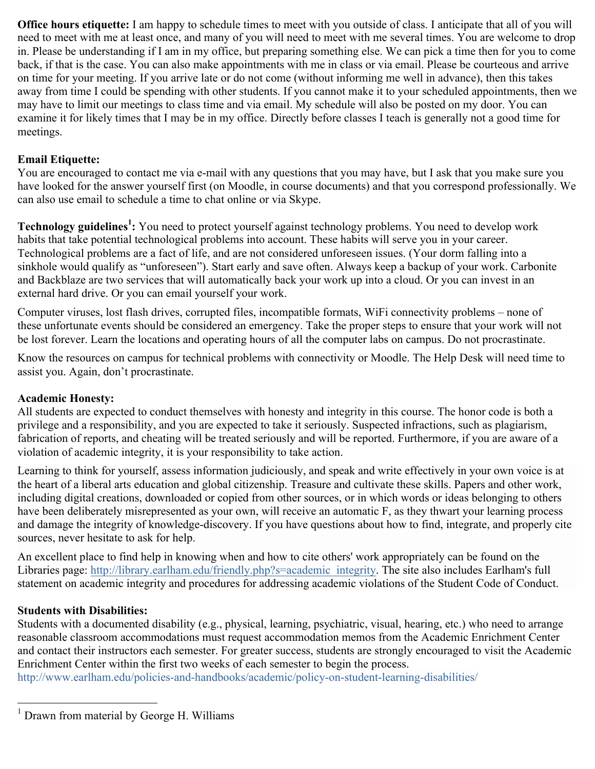**Office hours etiquette:** I am happy to schedule times to meet with you outside of class. I anticipate that all of you will need to meet with me at least once, and many of you will need to meet with me several times. You are welcome to drop in. Please be understanding if I am in my office, but preparing something else. We can pick a time then for you to come back, if that is the case. You can also make appointments with me in class or via email. Please be courteous and arrive on time for your meeting. If you arrive late or do not come (without informing me well in advance), then this takes away from time I could be spending with other students. If you cannot make it to your scheduled appointments, then we may have to limit our meetings to class time and via email. My schedule will also be posted on my door. You can examine it for likely times that I may be in my office. Directly before classes I teach is generally not a good time for meetings.

# **Email Etiquette:**

You are encouraged to contact me via e-mail with any questions that you may have, but I ask that you make sure you have looked for the answer yourself first (on Moodle, in course documents) and that you correspond professionally. We can also use email to schedule a time to chat online or via Skype.

**Technology guidelines<sup>1</sup> :** You need to protect yourself against technology problems. You need to develop work habits that take potential technological problems into account. These habits will serve you in your career. Technological problems are a fact of life, and are not considered unforeseen issues. (Your dorm falling into a sinkhole would qualify as "unforeseen"). Start early and save often. Always keep a backup of your work. Carbonite and Backblaze are two services that will automatically back your work up into a cloud. Or you can invest in an external hard drive. Or you can email yourself your work.

Computer viruses, lost flash drives, corrupted files, incompatible formats, WiFi connectivity problems – none of these unfortunate events should be considered an emergency. Take the proper steps to ensure that your work will not be lost forever. Learn the locations and operating hours of all the computer labs on campus. Do not procrastinate.

Know the resources on campus for technical problems with connectivity or Moodle. The Help Desk will need time to assist you. Again, don't procrastinate.

# **Academic Honesty:**

All students are expected to conduct themselves with honesty and integrity in this course. The honor code is both a privilege and a responsibility, and you are expected to take it seriously. Suspected infractions, such as plagiarism, fabrication of reports, and cheating will be treated seriously and will be reported. Furthermore, if you are aware of a violation of academic integrity, it is your responsibility to take action.

Learning to think for yourself, assess information judiciously, and speak and write effectively in your own voice is at the heart of a liberal arts education and global citizenship. Treasure and cultivate these skills. Papers and other work, including digital creations, downloaded or copied from other sources, or in which words or ideas belonging to others have been deliberately misrepresented as your own, will receive an automatic F, as they thwart your learning process and damage the integrity of knowledge-discovery. If you have questions about how to find, integrate, and properly cite sources, never hesitate to ask for help.

An excellent place to find help in knowing when and how to cite others' work appropriately can be found on the Libraries page: http://library.earlham.edu/friendly.php?s=academic\_integrity. The site also includes Earlham's full statement on academic integrity and procedures for addressing academic violations of the Student Code of Conduct.

#### **Students with Disabilities:**

Students with a documented disability (e.g., physical, learning, psychiatric, visual, hearing, etc.) who need to arrange reasonable classroom accommodations must request accommodation memos from the Academic Enrichment Center and contact their instructors each semester. For greater success, students are strongly encouraged to visit the Academic Enrichment Center within the first two weeks of each semester to begin the process.

http://www.earlham.edu/policies-and-handbooks/academic/policy-on-student-learning-disabilities/

<sup>&</sup>lt;sup>1</sup> Drawn from material by George H. Williams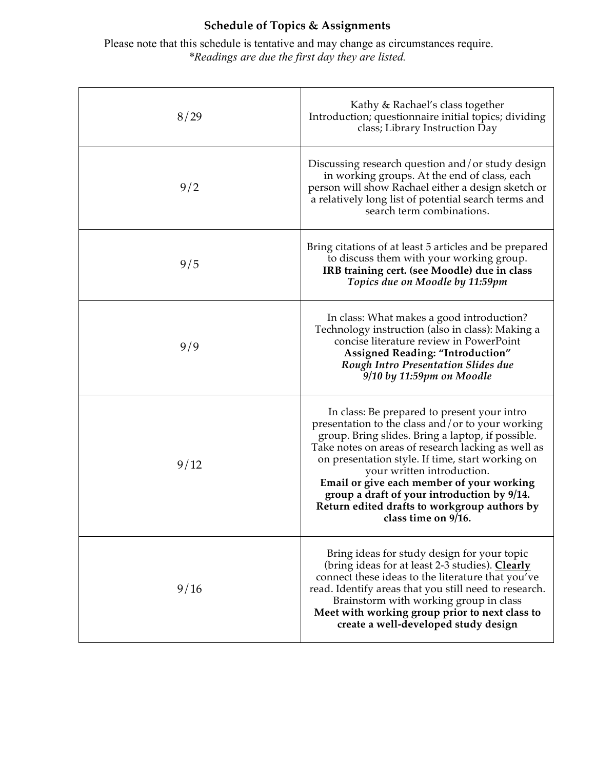# **Schedule of Topics & Assignments**

Please note that this schedule is tentative and may change as circumstances require. *\*Readings are due the first day they are listed.*

| 8/29 | Kathy & Rachael's class together<br>Introduction; questionnaire initial topics; dividing<br>class; Library Instruction Day                                                                                                                                                                                                                                                                                                                                      |
|------|-----------------------------------------------------------------------------------------------------------------------------------------------------------------------------------------------------------------------------------------------------------------------------------------------------------------------------------------------------------------------------------------------------------------------------------------------------------------|
| 9/2  | Discussing research question and/or study design<br>in working groups. At the end of class, each<br>person will show Rachael either a design sketch or<br>a relatively long list of potential search terms and<br>search term combinations.                                                                                                                                                                                                                     |
| 9/5  | Bring citations of at least 5 articles and be prepared<br>to discuss them with your working group.<br>IRB training cert. (see Moodle) due in class<br>Topics due on Moodle by 11:59pm                                                                                                                                                                                                                                                                           |
| 9/9  | In class: What makes a good introduction?<br>Technology instruction (also in class): Making a<br>concise literature review in PowerPoint<br>Assigned Reading: "Introduction"<br>Rough Intro Presentation Slides due<br>9/10 by 11:59pm on Moodle                                                                                                                                                                                                                |
| 9/12 | In class: Be prepared to present your intro<br>presentation to the class and/or to your working<br>group. Bring slides. Bring a laptop, if possible.<br>Take notes on areas of research lacking as well as<br>on presentation style. If time, start working on<br>your written introduction.<br>Email or give each member of your working<br>group a draft of your introduction by 9/14.<br>Return edited drafts to workgroup authors by<br>class time on 9/16. |
| 9/16 | Bring ideas for study design for your topic<br>(bring ideas for at least 2-3 studies). Clearly<br>connect these ideas to the literature that you've<br>read. Identify areas that you still need to research.<br>Brainstorm with working group in class<br>Meet with working group prior to next class to<br>create a well-developed study design                                                                                                                |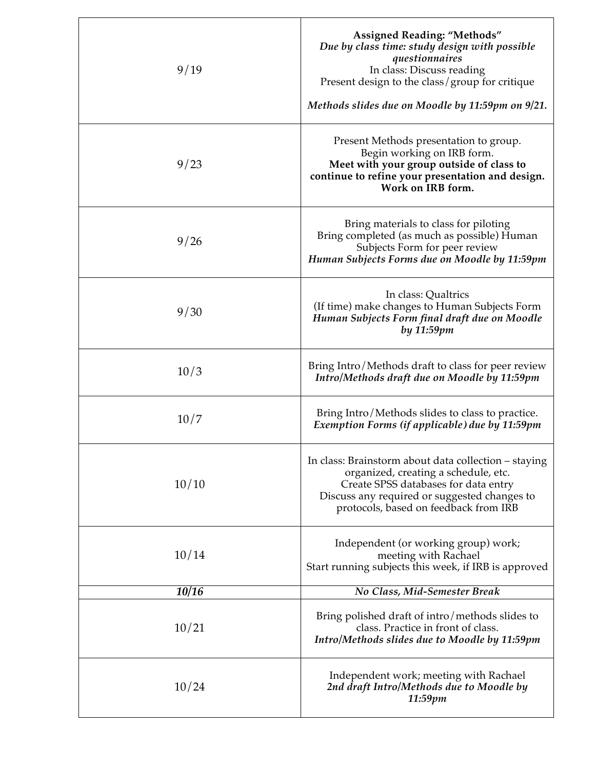| 9/19         | <b>Assigned Reading: "Methods"</b><br>Due by class time: study design with possible<br>questionnaires<br>In class: Discuss reading<br>Present design to the class/group for critique<br>Methods slides due on Moodle by 11:59pm on 9/21. |
|--------------|------------------------------------------------------------------------------------------------------------------------------------------------------------------------------------------------------------------------------------------|
| 9/23         | Present Methods presentation to group.<br>Begin working on IRB form.<br>Meet with your group outside of class to<br>continue to refine your presentation and design.<br>Work on IRB form.                                                |
| 9/26         | Bring materials to class for piloting<br>Bring completed (as much as possible) Human<br>Subjects Form for peer review<br>Human Subjects Forms due on Moodle by 11:59pm                                                                   |
| 9/30         | In class: Qualtrics<br>(If time) make changes to Human Subjects Form<br>Human Subjects Form final draft due on Moodle<br>by 11:59pm                                                                                                      |
| 10/3         | Bring Intro/Methods draft to class for peer review<br>Intro/Methods draft due on Moodle by 11:59pm                                                                                                                                       |
| 10/7         | Bring Intro/Methods slides to class to practice.<br>Exemption Forms (if applicable) due by 11:59pm                                                                                                                                       |
| 10/10        | In class: Brainstorm about data collection – staying<br>organized, creating a schedule, etc.<br>Create SPSS databases for data entry<br>Discuss any required or suggested changes to<br>protocols, based on feedback from IRB            |
| 10/14        | Independent (or working group) work;<br>meeting with Rachael<br>Start running subjects this week, if IRB is approved                                                                                                                     |
| <b>10/16</b> | No Class, Mid-Semester Break                                                                                                                                                                                                             |
| 10/21        | Bring polished draft of intro/methods slides to<br>class. Practice in front of class.<br>Intro/Methods slides due to Moodle by 11:59pm                                                                                                   |
| 10/24        | Independent work; meeting with Rachael<br>2nd draft Intro/Methods due to Moodle by<br>11:59pm                                                                                                                                            |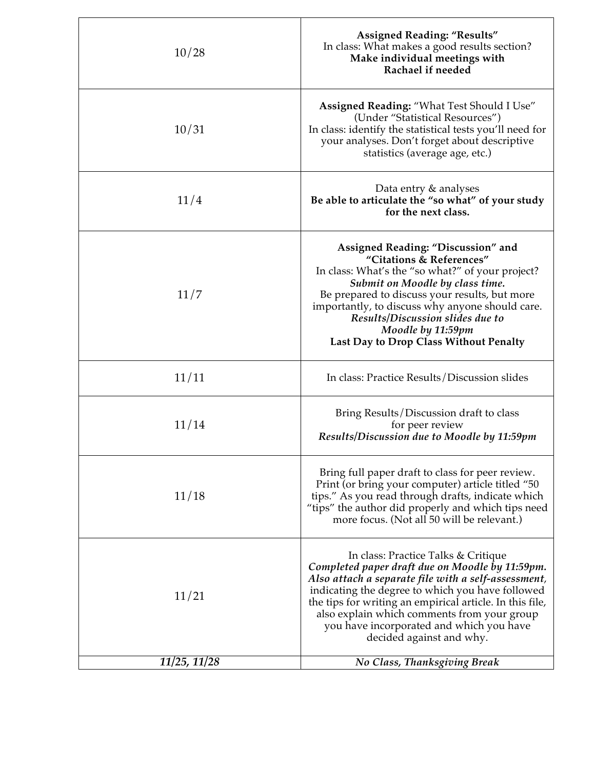| 10/28        | <b>Assigned Reading: "Results"</b><br>In class: What makes a good results section?<br>Make individual meetings with<br>Rachael if needed                                                                                                                                                                                                                                             |
|--------------|--------------------------------------------------------------------------------------------------------------------------------------------------------------------------------------------------------------------------------------------------------------------------------------------------------------------------------------------------------------------------------------|
| 10/31        | Assigned Reading: "What Test Should I Use"<br>(Under "Statistical Resources")<br>In class: identify the statistical tests you'll need for<br>your analyses. Don't forget about descriptive<br>statistics (average age, etc.)                                                                                                                                                         |
| 11/4         | Data entry & analyses<br>Be able to articulate the "so what" of your study<br>for the next class.                                                                                                                                                                                                                                                                                    |
| 11/7         | Assigned Reading: "Discussion" and<br>"Citations & References"<br>In class: What's the "so what?" of your project?<br>Submit on Moodle by class time.<br>Be prepared to discuss your results, but more<br>importantly, to discuss why anyone should care.<br>Results/Discussion slides due to<br>Moodle by 11:59pm<br>Last Day to Drop Class Without Penalty                         |
| 11/11        | In class: Practice Results/Discussion slides                                                                                                                                                                                                                                                                                                                                         |
| 11/14        | Bring Results/Discussion draft to class<br>for peer review<br>Results/Discussion due to Moodle by 11:59pm                                                                                                                                                                                                                                                                            |
| 11/18        | Bring full paper draft to class for peer review.<br>Print (or bring your computer) article titled "50<br>tips." As you read through drafts, indicate which<br>"tips" the author did properly and which tips need<br>more focus. (Not all 50 will be relevant.)                                                                                                                       |
| 11/21        | In class: Practice Talks & Critique<br>Completed paper draft due on Moodle by 11:59pm.<br>Also attach a separate file with a self-assessment,<br>indicating the degree to which you have followed<br>the tips for writing an empirical article. In this file,<br>also explain which comments from your group<br>you have incorporated and which you have<br>decided against and why. |
| 11/25, 11/28 | No Class, Thanksgiving Break                                                                                                                                                                                                                                                                                                                                                         |